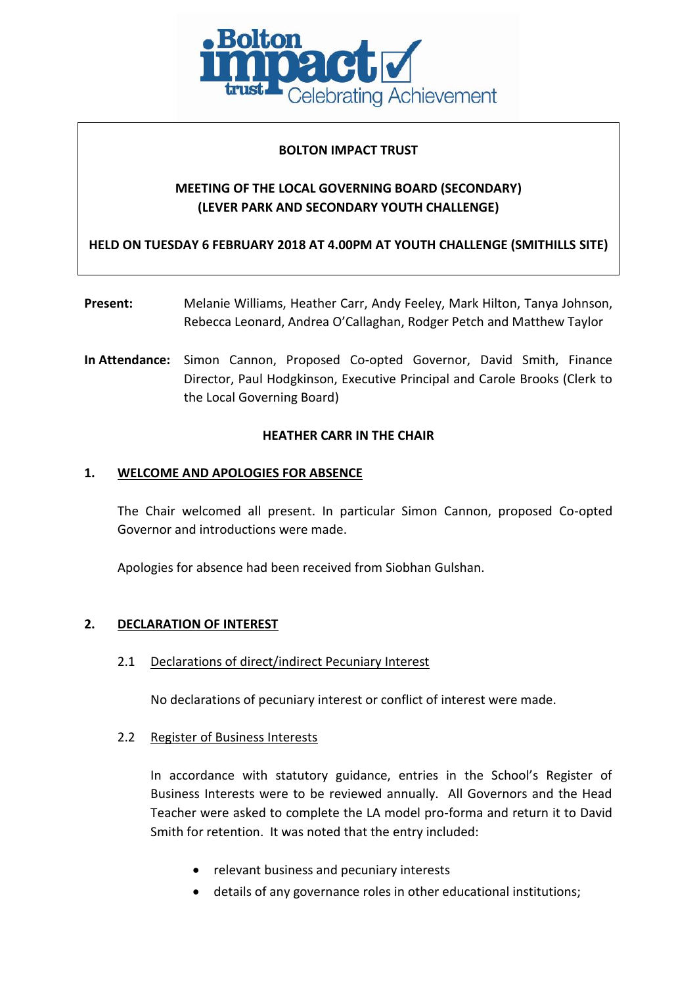

### **BOLTON IMPACT TRUST**

# **MEETING OF THE LOCAL GOVERNING BOARD (SECONDARY) (LEVER PARK AND SECONDARY YOUTH CHALLENGE)**

**HELD ON TUESDAY 6 FEBRUARY 2018 AT 4.00PM AT YOUTH CHALLENGE (SMITHILLS SITE)**

- **Present:** Melanie Williams, Heather Carr, Andy Feeley, Mark Hilton, Tanya Johnson, Rebecca Leonard, Andrea O'Callaghan, Rodger Petch and Matthew Taylor
- **In Attendance:** Simon Cannon, Proposed Co-opted Governor, David Smith, Finance Director, Paul Hodgkinson, Executive Principal and Carole Brooks (Clerk to the Local Governing Board)

### **HEATHER CARR IN THE CHAIR**

### **1. WELCOME AND APOLOGIES FOR ABSENCE**

The Chair welcomed all present. In particular Simon Cannon, proposed Co-opted Governor and introductions were made.

Apologies for absence had been received from Siobhan Gulshan.

### **2. DECLARATION OF INTEREST**

2.1 Declarations of direct/indirect Pecuniary Interest

No declarations of pecuniary interest or conflict of interest were made.

### 2.2 Register of Business Interests

In accordance with statutory guidance, entries in the School's Register of Business Interests were to be reviewed annually. All Governors and the Head Teacher were asked to complete the LA model pro-forma and return it to David Smith for retention. It was noted that the entry included:

- relevant business and pecuniary interests
- details of any governance roles in other educational institutions;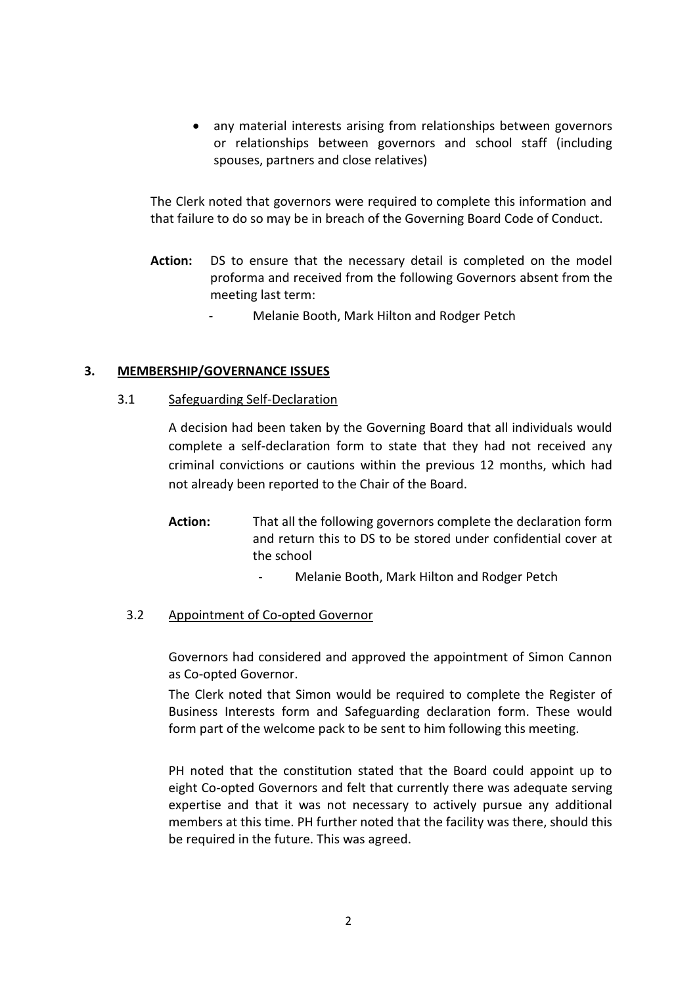• any material interests arising from relationships between governors or relationships between governors and school staff (including spouses, partners and close relatives)

The Clerk noted that governors were required to complete this information and that failure to do so may be in breach of the Governing Board Code of Conduct.

- **Action:** DS to ensure that the necessary detail is completed on the model proforma and received from the following Governors absent from the meeting last term:
	- Melanie Booth, Mark Hilton and Rodger Petch

### **3. MEMBERSHIP/GOVERNANCE ISSUES**

### 3.1 Safeguarding Self-Declaration

A decision had been taken by the Governing Board that all individuals would complete a self-declaration form to state that they had not received any criminal convictions or cautions within the previous 12 months, which had not already been reported to the Chair of the Board.

- **Action:** That all the following governors complete the declaration form and return this to DS to be stored under confidential cover at the school
	- Melanie Booth, Mark Hilton and Rodger Petch

### 3.2 Appointment of Co-opted Governor

Governors had considered and approved the appointment of Simon Cannon as Co-opted Governor.

The Clerk noted that Simon would be required to complete the Register of Business Interests form and Safeguarding declaration form. These would form part of the welcome pack to be sent to him following this meeting.

PH noted that the constitution stated that the Board could appoint up to eight Co-opted Governors and felt that currently there was adequate serving expertise and that it was not necessary to actively pursue any additional members at this time. PH further noted that the facility was there, should this be required in the future. This was agreed.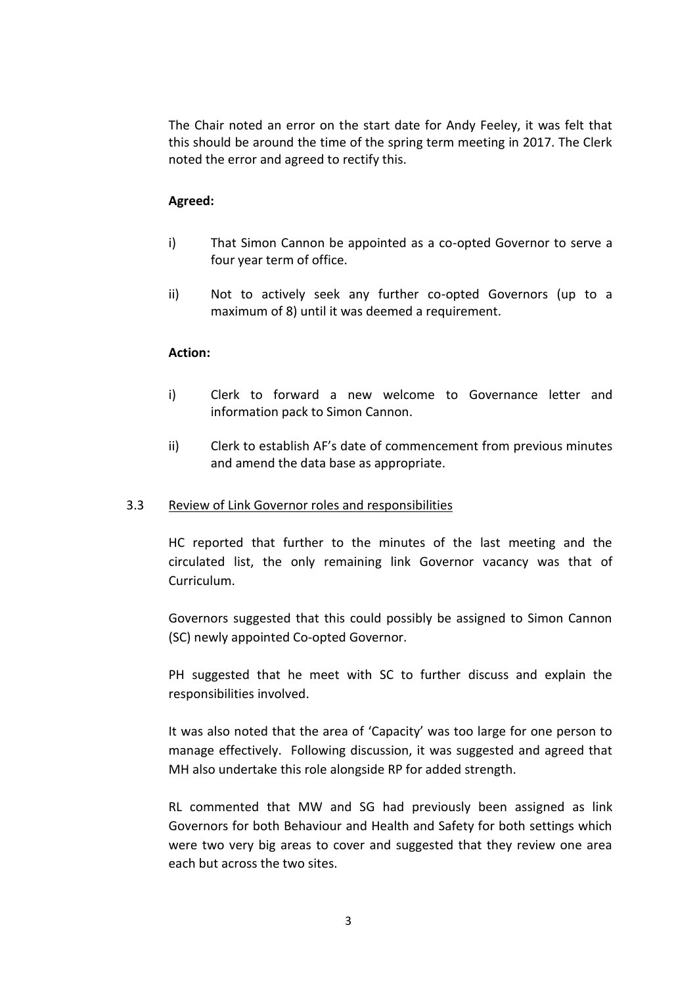The Chair noted an error on the start date for Andy Feeley, it was felt that this should be around the time of the spring term meeting in 2017. The Clerk noted the error and agreed to rectify this.

### **Agreed:**

- i) That Simon Cannon be appointed as a co-opted Governor to serve a four year term of office.
- ii) Not to actively seek any further co-opted Governors (up to a maximum of 8) until it was deemed a requirement.

### **Action:**

- i) Clerk to forward a new welcome to Governance letter and information pack to Simon Cannon.
- ii) Clerk to establish AF's date of commencement from previous minutes and amend the data base as appropriate.

### 3.3 Review of Link Governor roles and responsibilities

HC reported that further to the minutes of the last meeting and the circulated list, the only remaining link Governor vacancy was that of Curriculum.

Governors suggested that this could possibly be assigned to Simon Cannon (SC) newly appointed Co-opted Governor.

PH suggested that he meet with SC to further discuss and explain the responsibilities involved.

It was also noted that the area of 'Capacity' was too large for one person to manage effectively. Following discussion, it was suggested and agreed that MH also undertake this role alongside RP for added strength.

RL commented that MW and SG had previously been assigned as link Governors for both Behaviour and Health and Safety for both settings which were two very big areas to cover and suggested that they review one area each but across the two sites.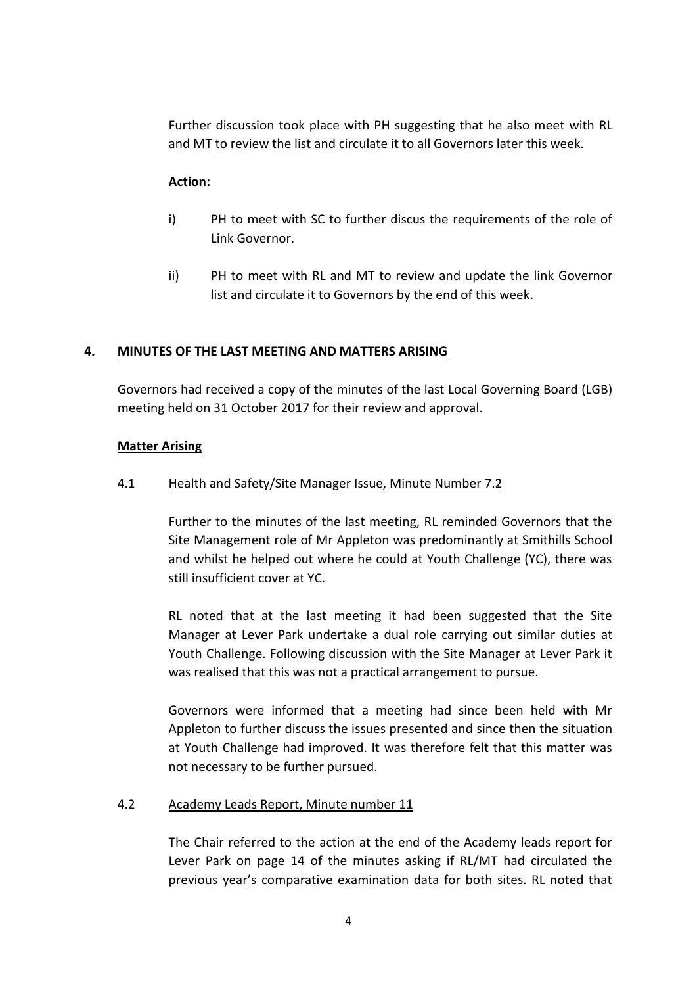Further discussion took place with PH suggesting that he also meet with RL and MT to review the list and circulate it to all Governors later this week.

### **Action:**

- i) PH to meet with SC to further discus the requirements of the role of Link Governor.
- ii) PH to meet with RL and MT to review and update the link Governor list and circulate it to Governors by the end of this week.

### **4. MINUTES OF THE LAST MEETING AND MATTERS ARISING**

Governors had received a copy of the minutes of the last Local Governing Board (LGB) meeting held on 31 October 2017 for their review and approval.

### **Matter Arising**

### 4.1 Health and Safety/Site Manager Issue, Minute Number 7.2

Further to the minutes of the last meeting, RL reminded Governors that the Site Management role of Mr Appleton was predominantly at Smithills School and whilst he helped out where he could at Youth Challenge (YC), there was still insufficient cover at YC.

RL noted that at the last meeting it had been suggested that the Site Manager at Lever Park undertake a dual role carrying out similar duties at Youth Challenge. Following discussion with the Site Manager at Lever Park it was realised that this was not a practical arrangement to pursue.

Governors were informed that a meeting had since been held with Mr Appleton to further discuss the issues presented and since then the situation at Youth Challenge had improved. It was therefore felt that this matter was not necessary to be further pursued.

### 4.2 Academy Leads Report, Minute number 11

The Chair referred to the action at the end of the Academy leads report for Lever Park on page 14 of the minutes asking if RL/MT had circulated the previous year's comparative examination data for both sites. RL noted that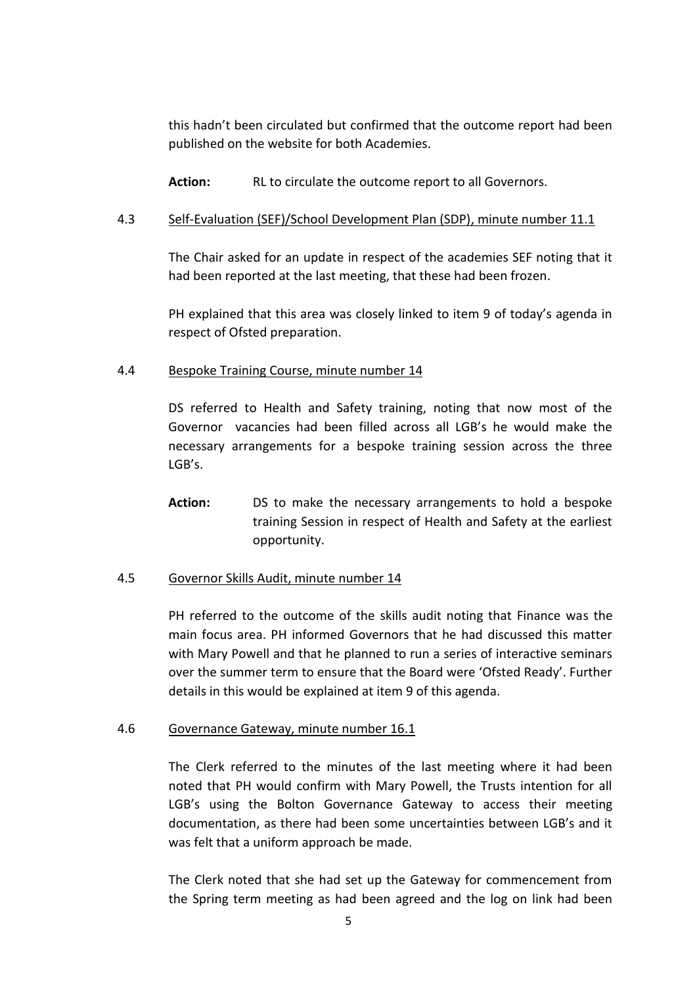this hadn't been circulated but confirmed that the outcome report had been published on the website for both Academies.

**Action:** RL to circulate the outcome report to all Governors.

### 4.3 Self-Evaluation (SEF)/School Development Plan (SDP), minute number 11.1

The Chair asked for an update in respect of the academies SEF noting that it had been reported at the last meeting, that these had been frozen.

PH explained that this area was closely linked to item 9 of today's agenda in respect of Ofsted preparation.

### 4.4 Bespoke Training Course, minute number 14

DS referred to Health and Safety training, noting that now most of the Governor vacancies had been filled across all LGB's he would make the necessary arrangements for a bespoke training session across the three LGB's.

**Action:** DS to make the necessary arrangements to hold a bespoke training Session in respect of Health and Safety at the earliest opportunity.

# 4.5 Governor Skills Audit, minute number 14

PH referred to the outcome of the skills audit noting that Finance was the main focus area. PH informed Governors that he had discussed this matter with Mary Powell and that he planned to run a series of interactive seminars over the summer term to ensure that the Board were 'Ofsted Ready'. Further details in this would be explained at item 9 of this agenda.

### 4.6 Governance Gateway, minute number 16.1

The Clerk referred to the minutes of the last meeting where it had been noted that PH would confirm with Mary Powell, the Trusts intention for all LGB's using the Bolton Governance Gateway to access their meeting documentation, as there had been some uncertainties between LGB's and it was felt that a uniform approach be made.

The Clerk noted that she had set up the Gateway for commencement from the Spring term meeting as had been agreed and the log on link had been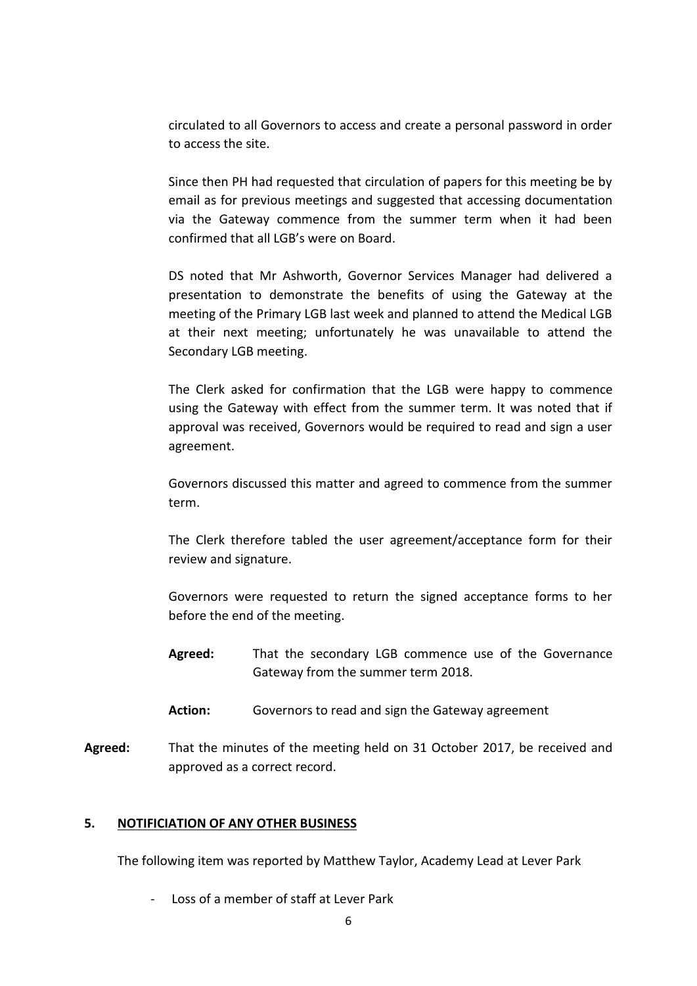circulated to all Governors to access and create a personal password in order to access the site.

Since then PH had requested that circulation of papers for this meeting be by email as for previous meetings and suggested that accessing documentation via the Gateway commence from the summer term when it had been confirmed that all LGB's were on Board.

DS noted that Mr Ashworth, Governor Services Manager had delivered a presentation to demonstrate the benefits of using the Gateway at the meeting of the Primary LGB last week and planned to attend the Medical LGB at their next meeting; unfortunately he was unavailable to attend the Secondary LGB meeting.

The Clerk asked for confirmation that the LGB were happy to commence using the Gateway with effect from the summer term. It was noted that if approval was received, Governors would be required to read and sign a user agreement.

Governors discussed this matter and agreed to commence from the summer term.

The Clerk therefore tabled the user agreement/acceptance form for their review and signature.

Governors were requested to return the signed acceptance forms to her before the end of the meeting.

- **Agreed:** That the secondary LGB commence use of the Governance Gateway from the summer term 2018.
- **Action:** Governors to read and sign the Gateway agreement
- **Agreed:** That the minutes of the meeting held on 31 October 2017, be received and approved as a correct record.

### **5. NOTIFICIATION OF ANY OTHER BUSINESS**

The following item was reported by Matthew Taylor, Academy Lead at Lever Park

- Loss of a member of staff at Lever Park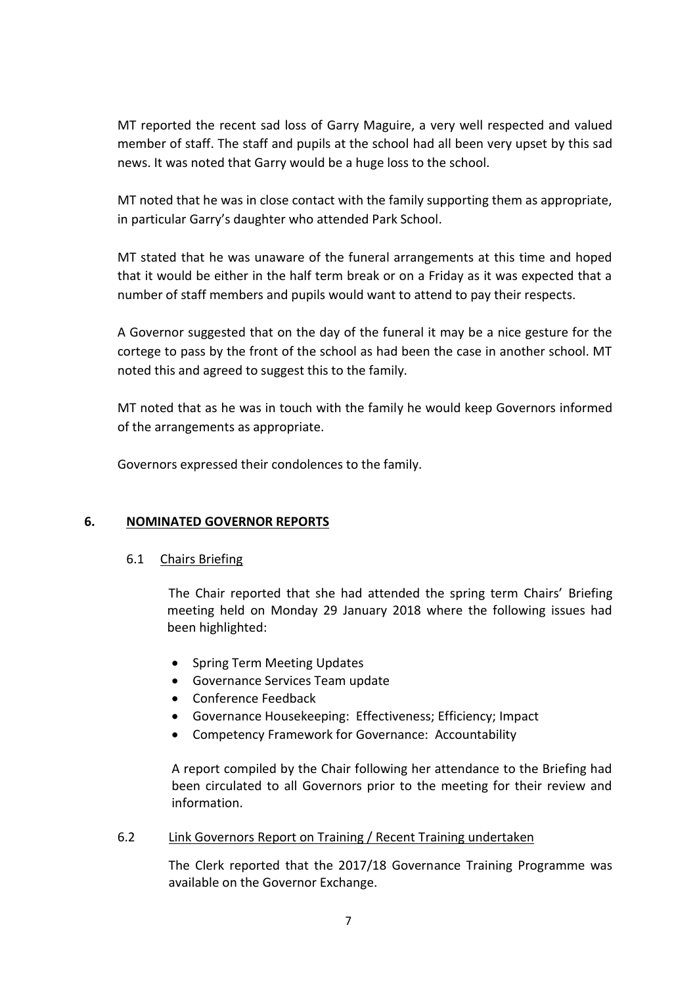MT reported the recent sad loss of Garry Maguire, a very well respected and valued member of staff. The staff and pupils at the school had all been very upset by this sad news. It was noted that Garry would be a huge loss to the school.

MT noted that he was in close contact with the family supporting them as appropriate, in particular Garry's daughter who attended Park School.

MT stated that he was unaware of the funeral arrangements at this time and hoped that it would be either in the half term break or on a Friday as it was expected that a number of staff members and pupils would want to attend to pay their respects.

A Governor suggested that on the day of the funeral it may be a nice gesture for the cortege to pass by the front of the school as had been the case in another school. MT noted this and agreed to suggest this to the family.

MT noted that as he was in touch with the family he would keep Governors informed of the arrangements as appropriate.

Governors expressed their condolences to the family.

# **6. NOMINATED GOVERNOR REPORTS**

### 6.1 Chairs Briefing

The Chair reported that she had attended the spring term Chairs' Briefing meeting held on Monday 29 January 2018 where the following issues had been highlighted:

- Spring Term Meeting Updates
- Governance Services Team update
- Conference Feedback
- Governance Housekeeping: Effectiveness; Efficiency; Impact
- Competency Framework for Governance: Accountability

A report compiled by the Chair following her attendance to the Briefing had been circulated to all Governors prior to the meeting for their review and information.

# 6.2 Link Governors Report on Training / Recent Training undertaken

The Clerk reported that the 2017/18 Governance Training Programme was available on the Governor Exchange.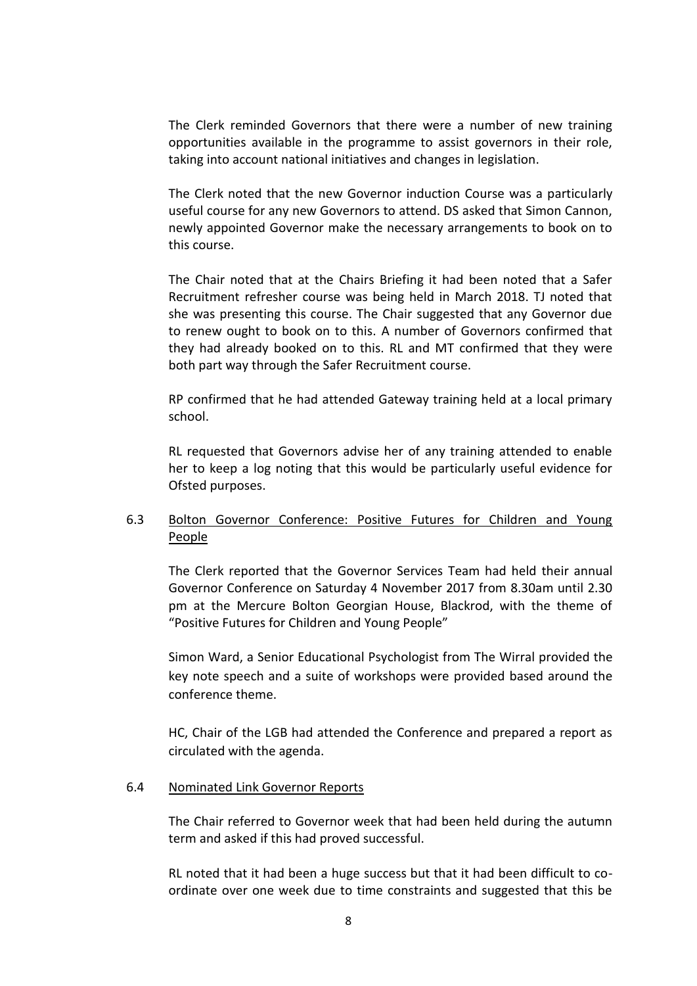The Clerk reminded Governors that there were a number of new training opportunities available in the programme to assist governors in their role, taking into account national initiatives and changes in legislation.

The Clerk noted that the new Governor induction Course was a particularly useful course for any new Governors to attend. DS asked that Simon Cannon, newly appointed Governor make the necessary arrangements to book on to this course.

The Chair noted that at the Chairs Briefing it had been noted that a Safer Recruitment refresher course was being held in March 2018. TJ noted that she was presenting this course. The Chair suggested that any Governor due to renew ought to book on to this. A number of Governors confirmed that they had already booked on to this. RL and MT confirmed that they were both part way through the Safer Recruitment course.

RP confirmed that he had attended Gateway training held at a local primary school.

RL requested that Governors advise her of any training attended to enable her to keep a log noting that this would be particularly useful evidence for Ofsted purposes.

### 6.3 Bolton Governor Conference: Positive Futures for Children and Young People

The Clerk reported that the Governor Services Team had held their annual Governor Conference on Saturday 4 November 2017 from 8.30am until 2.30 pm at the Mercure Bolton Georgian House, Blackrod, with the theme of "Positive Futures for Children and Young People"

Simon Ward, a Senior Educational Psychologist from The Wirral provided the key note speech and a suite of workshops were provided based around the conference theme.

HC, Chair of the LGB had attended the Conference and prepared a report as circulated with the agenda.

#### 6.4 Nominated Link Governor Reports

The Chair referred to Governor week that had been held during the autumn term and asked if this had proved successful.

RL noted that it had been a huge success but that it had been difficult to coordinate over one week due to time constraints and suggested that this be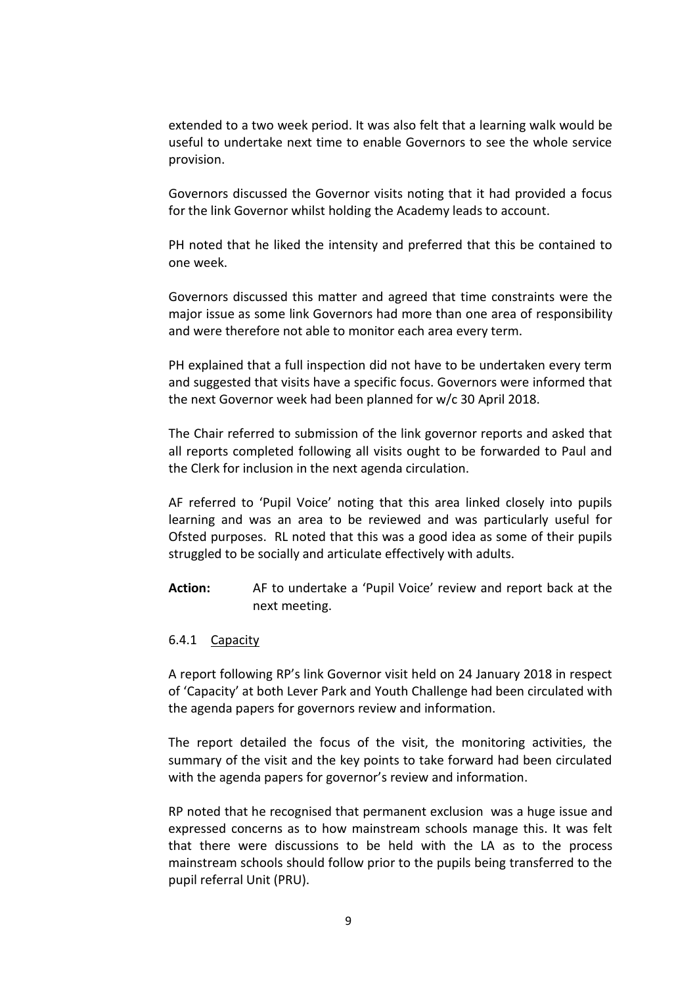extended to a two week period. It was also felt that a learning walk would be useful to undertake next time to enable Governors to see the whole service provision.

Governors discussed the Governor visits noting that it had provided a focus for the link Governor whilst holding the Academy leads to account.

PH noted that he liked the intensity and preferred that this be contained to one week.

Governors discussed this matter and agreed that time constraints were the major issue as some link Governors had more than one area of responsibility and were therefore not able to monitor each area every term.

PH explained that a full inspection did not have to be undertaken every term and suggested that visits have a specific focus. Governors were informed that the next Governor week had been planned for w/c 30 April 2018.

The Chair referred to submission of the link governor reports and asked that all reports completed following all visits ought to be forwarded to Paul and the Clerk for inclusion in the next agenda circulation.

AF referred to 'Pupil Voice' noting that this area linked closely into pupils learning and was an area to be reviewed and was particularly useful for Ofsted purposes. RL noted that this was a good idea as some of their pupils struggled to be socially and articulate effectively with adults.

**Action:** AF to undertake a 'Pupil Voice' review and report back at the next meeting.

#### 6.4.1 Capacity

A report following RP's link Governor visit held on 24 January 2018 in respect of 'Capacity' at both Lever Park and Youth Challenge had been circulated with the agenda papers for governors review and information.

The report detailed the focus of the visit, the monitoring activities, the summary of the visit and the key points to take forward had been circulated with the agenda papers for governor's review and information.

RP noted that he recognised that permanent exclusion was a huge issue and expressed concerns as to how mainstream schools manage this. It was felt that there were discussions to be held with the LA as to the process mainstream schools should follow prior to the pupils being transferred to the pupil referral Unit (PRU).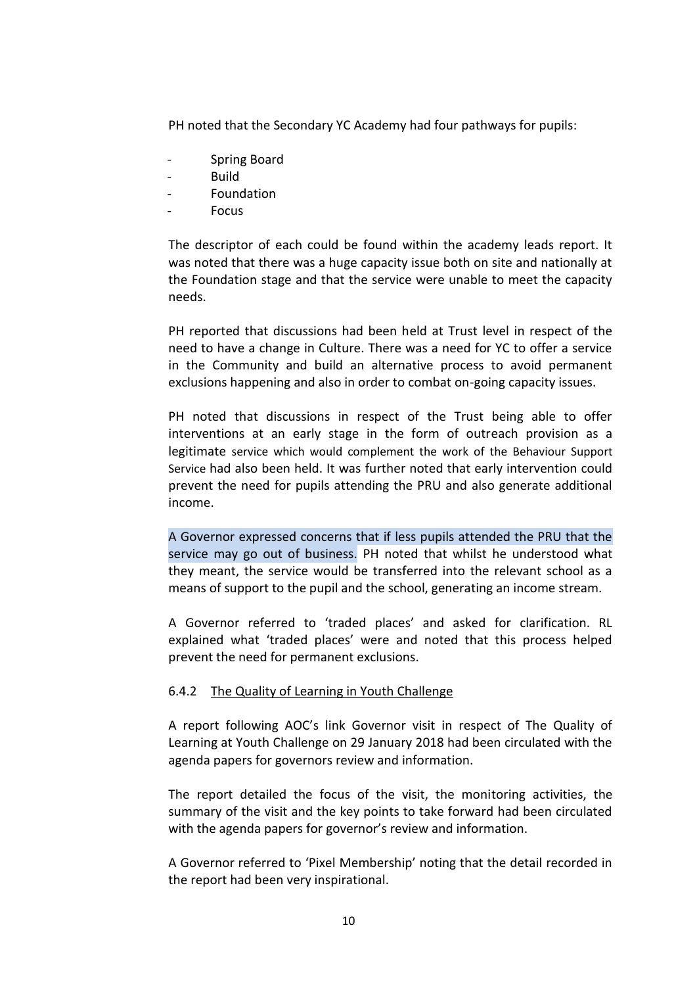PH noted that the Secondary YC Academy had four pathways for pupils:

- Spring Board
- Build
- Foundation
- **Focus**

The descriptor of each could be found within the academy leads report. It was noted that there was a huge capacity issue both on site and nationally at the Foundation stage and that the service were unable to meet the capacity needs.

PH reported that discussions had been held at Trust level in respect of the need to have a change in Culture. There was a need for YC to offer a service in the Community and build an alternative process to avoid permanent exclusions happening and also in order to combat on-going capacity issues.

PH noted that discussions in respect of the Trust being able to offer interventions at an early stage in the form of outreach provision as a legitimate service which would complement the work of the Behaviour Support Service had also been held. It was further noted that early intervention could prevent the need for pupils attending the PRU and also generate additional income.

A Governor expressed concerns that if less pupils attended the PRU that the service may go out of business. PH noted that whilst he understood what they meant, the service would be transferred into the relevant school as a means of support to the pupil and the school, generating an income stream.

A Governor referred to 'traded places' and asked for clarification. RL explained what 'traded places' were and noted that this process helped prevent the need for permanent exclusions.

### 6.4.2 The Quality of Learning in Youth Challenge

A report following AOC's link Governor visit in respect of The Quality of Learning at Youth Challenge on 29 January 2018 had been circulated with the agenda papers for governors review and information.

The report detailed the focus of the visit, the monitoring activities, the summary of the visit and the key points to take forward had been circulated with the agenda papers for governor's review and information.

A Governor referred to 'Pixel Membership' noting that the detail recorded in the report had been very inspirational.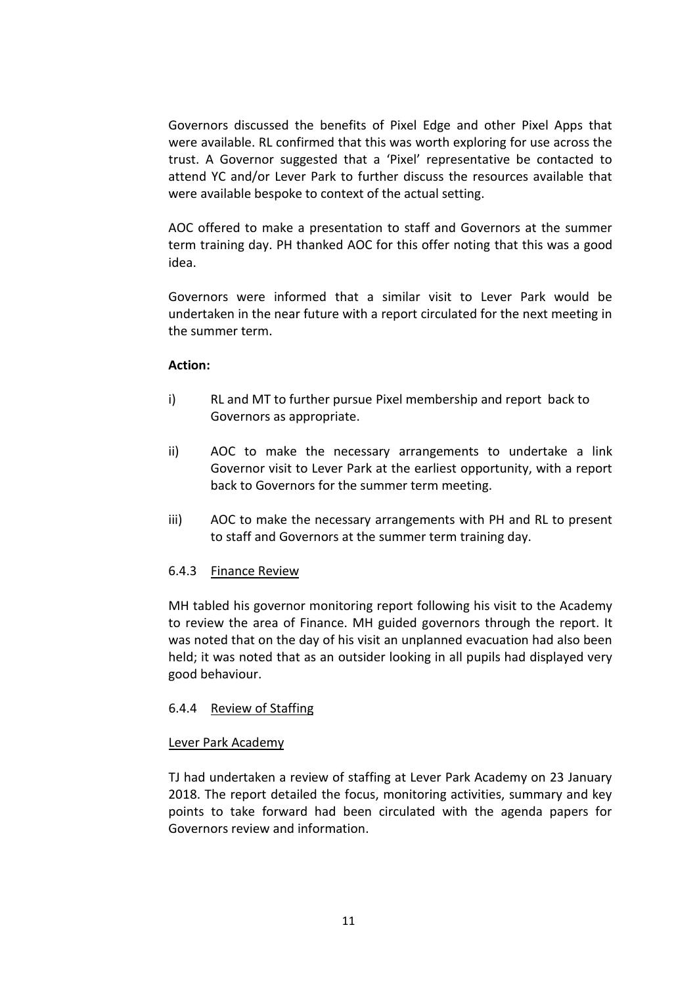Governors discussed the benefits of Pixel Edge and other Pixel Apps that were available. RL confirmed that this was worth exploring for use across the trust. A Governor suggested that a 'Pixel' representative be contacted to attend YC and/or Lever Park to further discuss the resources available that were available bespoke to context of the actual setting.

AOC offered to make a presentation to staff and Governors at the summer term training day. PH thanked AOC for this offer noting that this was a good idea.

Governors were informed that a similar visit to Lever Park would be undertaken in the near future with a report circulated for the next meeting in the summer term.

### **Action:**

- i) RL and MT to further pursue Pixel membership and report back to Governors as appropriate.
- ii) AOC to make the necessary arrangements to undertake a link Governor visit to Lever Park at the earliest opportunity, with a report back to Governors for the summer term meeting.
- iii) AOC to make the necessary arrangements with PH and RL to present to staff and Governors at the summer term training day.

# 6.4.3 Finance Review

MH tabled his governor monitoring report following his visit to the Academy to review the area of Finance. MH guided governors through the report. It was noted that on the day of his visit an unplanned evacuation had also been held; it was noted that as an outsider looking in all pupils had displayed very good behaviour.

# 6.4.4 Review of Staffing

### Lever Park Academy

TJ had undertaken a review of staffing at Lever Park Academy on 23 January 2018. The report detailed the focus, monitoring activities, summary and key points to take forward had been circulated with the agenda papers for Governors review and information.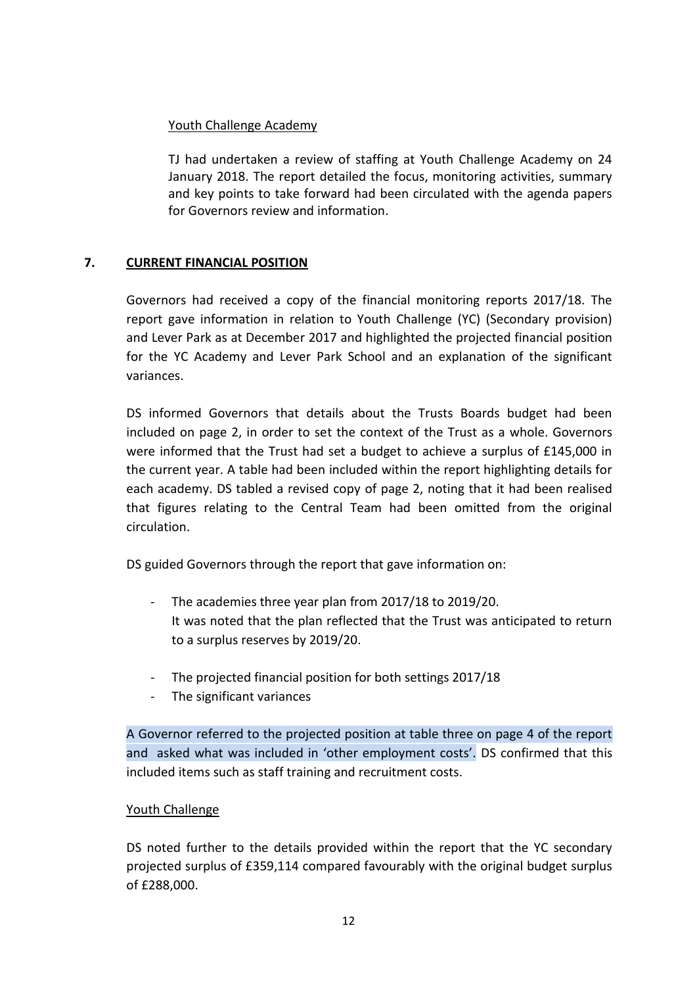# Youth Challenge Academy

TJ had undertaken a review of staffing at Youth Challenge Academy on 24 January 2018. The report detailed the focus, monitoring activities, summary and key points to take forward had been circulated with the agenda papers for Governors review and information.

# **7. CURRENT FINANCIAL POSITION**

Governors had received a copy of the financial monitoring reports 2017/18. The report gave information in relation to Youth Challenge (YC) (Secondary provision) and Lever Park as at December 2017 and highlighted the projected financial position for the YC Academy and Lever Park School and an explanation of the significant variances.

DS informed Governors that details about the Trusts Boards budget had been included on page 2, in order to set the context of the Trust as a whole. Governors were informed that the Trust had set a budget to achieve a surplus of £145,000 in the current year. A table had been included within the report highlighting details for each academy. DS tabled a revised copy of page 2, noting that it had been realised that figures relating to the Central Team had been omitted from the original circulation.

DS guided Governors through the report that gave information on:

- The academies three year plan from 2017/18 to 2019/20. It was noted that the plan reflected that the Trust was anticipated to return to a surplus reserves by 2019/20.
- The projected financial position for both settings 2017/18
- The significant variances

A Governor referred to the projected position at table three on page 4 of the report and asked what was included in 'other employment costs'. DS confirmed that this included items such as staff training and recruitment costs.

# Youth Challenge

DS noted further to the details provided within the report that the YC secondary projected surplus of £359,114 compared favourably with the original budget surplus of £288,000.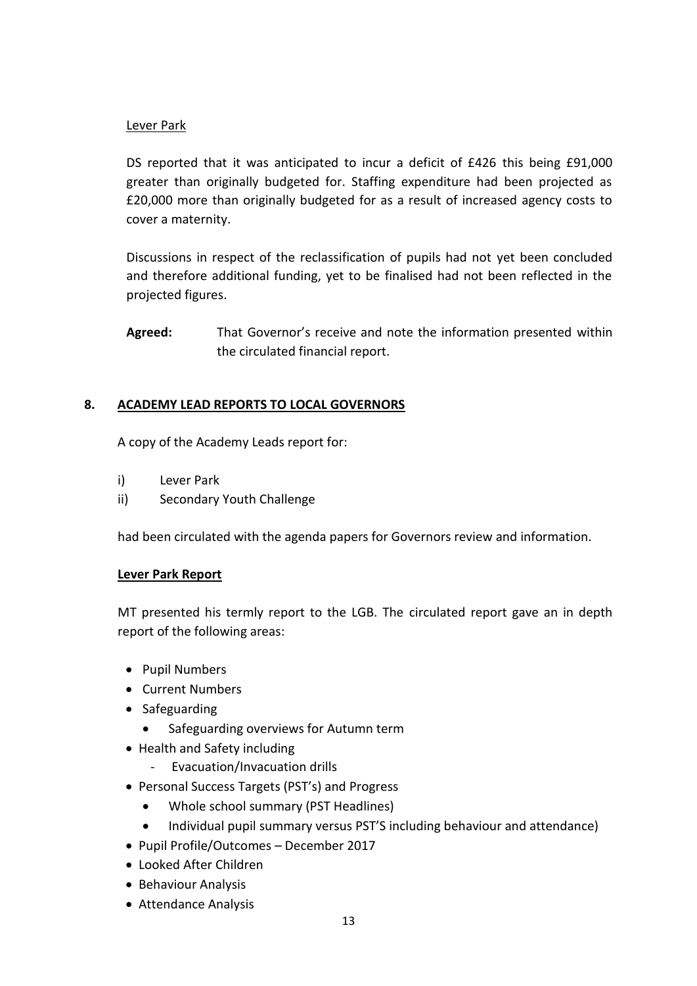### Lever Park

DS reported that it was anticipated to incur a deficit of £426 this being £91,000 greater than originally budgeted for. Staffing expenditure had been projected as £20,000 more than originally budgeted for as a result of increased agency costs to cover a maternity.

Discussions in respect of the reclassification of pupils had not yet been concluded and therefore additional funding, yet to be finalised had not been reflected in the projected figures.

**Agreed:** That Governor's receive and note the information presented within the circulated financial report.

# **8. ACADEMY LEAD REPORTS TO LOCAL GOVERNORS**

A copy of the Academy Leads report for:

- i) Lever Park
- ii) Secondary Youth Challenge

had been circulated with the agenda papers for Governors review and information.

### **Lever Park Report**

MT presented his termly report to the LGB. The circulated report gave an in depth report of the following areas:

- Pupil Numbers
- Current Numbers
- Safeguarding
	- Safeguarding overviews for Autumn term
- Health and Safety including
	- Evacuation/Invacuation drills
- Personal Success Targets (PST's) and Progress
	- Whole school summary (PST Headlines)
	- Individual pupil summary versus PST'S including behaviour and attendance)
- Pupil Profile/Outcomes December 2017
- Looked After Children
- Behaviour Analysis
- Attendance Analysis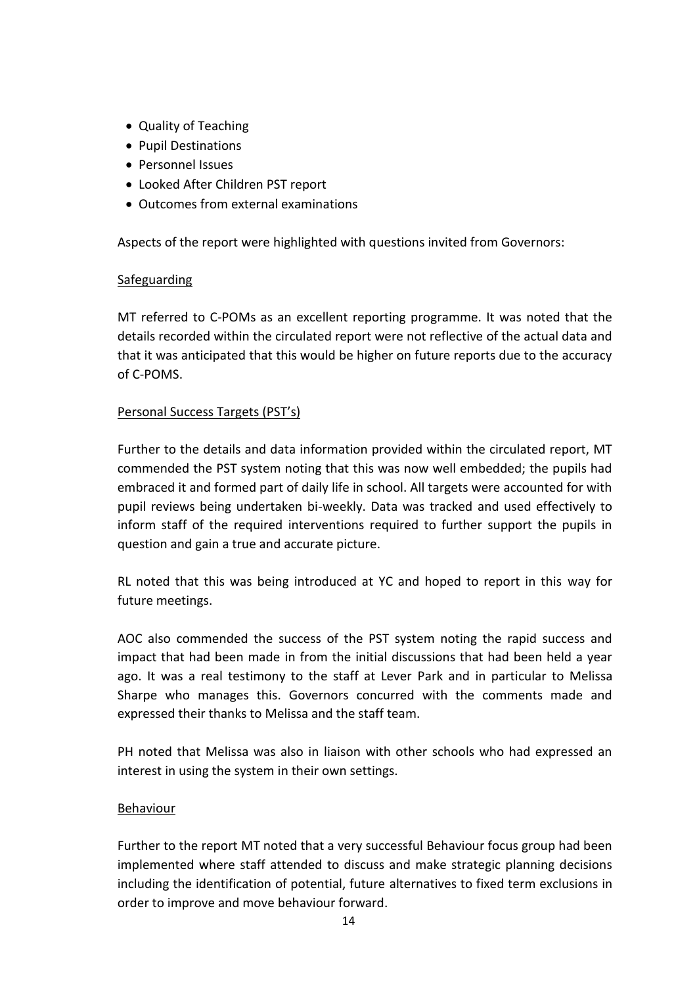- Quality of Teaching
- Pupil Destinations
- Personnel Issues
- Looked After Children PST report
- Outcomes from external examinations

Aspects of the report were highlighted with questions invited from Governors:

### Safeguarding

MT referred to C-POMs as an excellent reporting programme. It was noted that the details recorded within the circulated report were not reflective of the actual data and that it was anticipated that this would be higher on future reports due to the accuracy of C-POMS.

# Personal Success Targets (PST's)

Further to the details and data information provided within the circulated report, MT commended the PST system noting that this was now well embedded; the pupils had embraced it and formed part of daily life in school. All targets were accounted for with pupil reviews being undertaken bi-weekly. Data was tracked and used effectively to inform staff of the required interventions required to further support the pupils in question and gain a true and accurate picture.

RL noted that this was being introduced at YC and hoped to report in this way for future meetings.

AOC also commended the success of the PST system noting the rapid success and impact that had been made in from the initial discussions that had been held a year ago. It was a real testimony to the staff at Lever Park and in particular to Melissa Sharpe who manages this. Governors concurred with the comments made and expressed their thanks to Melissa and the staff team.

PH noted that Melissa was also in liaison with other schools who had expressed an interest in using the system in their own settings.

# Behaviour

Further to the report MT noted that a very successful Behaviour focus group had been implemented where staff attended to discuss and make strategic planning decisions including the identification of potential, future alternatives to fixed term exclusions in order to improve and move behaviour forward.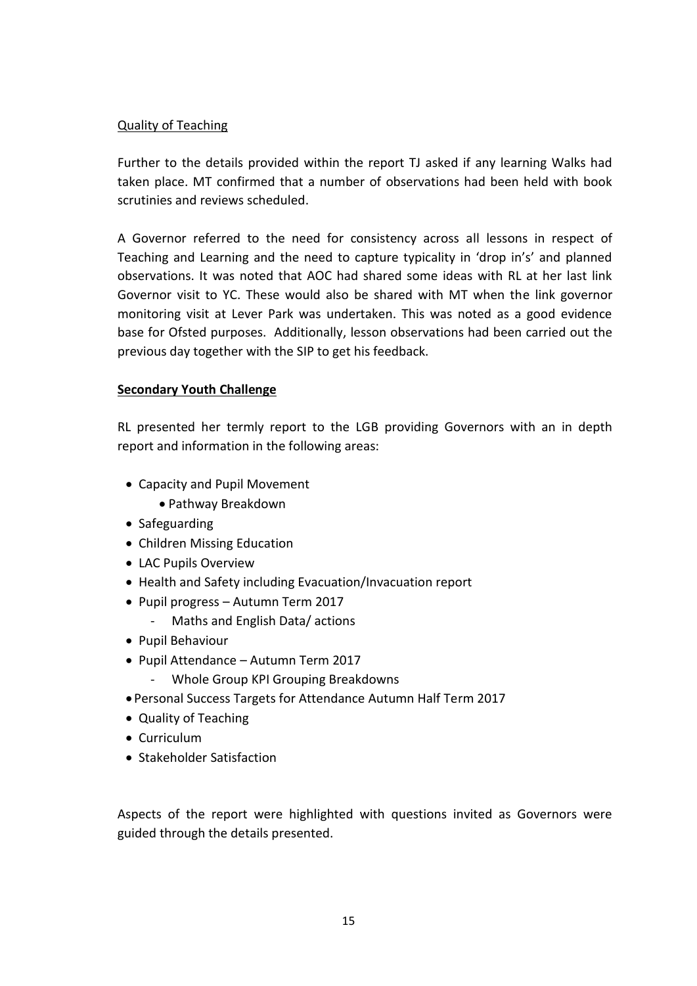## Quality of Teaching

Further to the details provided within the report TJ asked if any learning Walks had taken place. MT confirmed that a number of observations had been held with book scrutinies and reviews scheduled.

A Governor referred to the need for consistency across all lessons in respect of Teaching and Learning and the need to capture typicality in 'drop in's' and planned observations. It was noted that AOC had shared some ideas with RL at her last link Governor visit to YC. These would also be shared with MT when the link governor monitoring visit at Lever Park was undertaken. This was noted as a good evidence base for Ofsted purposes. Additionally, lesson observations had been carried out the previous day together with the SIP to get his feedback.

### **Secondary Youth Challenge**

RL presented her termly report to the LGB providing Governors with an in depth report and information in the following areas:

- Capacity and Pupil Movement
	- Pathway Breakdown
- Safeguarding
- Children Missing Education
- LAC Pupils Overview
- Health and Safety including Evacuation/Invacuation report
- Pupil progress Autumn Term 2017
	- Maths and English Data/ actions
- Pupil Behaviour
- Pupil Attendance Autumn Term 2017
	- Whole Group KPI Grouping Breakdowns
- Personal Success Targets for Attendance Autumn Half Term 2017
- Quality of Teaching
- Curriculum
- Stakeholder Satisfaction

Aspects of the report were highlighted with questions invited as Governors were guided through the details presented.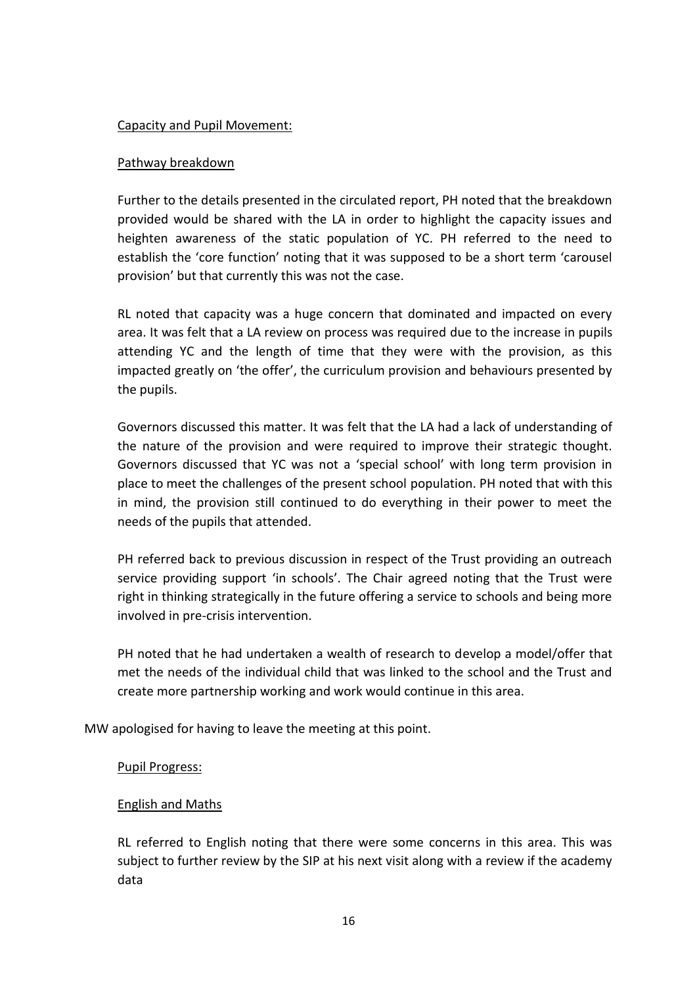### Capacity and Pupil Movement:

### Pathway breakdown

Further to the details presented in the circulated report, PH noted that the breakdown provided would be shared with the LA in order to highlight the capacity issues and heighten awareness of the static population of YC. PH referred to the need to establish the 'core function' noting that it was supposed to be a short term 'carousel provision' but that currently this was not the case.

RL noted that capacity was a huge concern that dominated and impacted on every area. It was felt that a LA review on process was required due to the increase in pupils attending YC and the length of time that they were with the provision, as this impacted greatly on 'the offer', the curriculum provision and behaviours presented by the pupils.

Governors discussed this matter. It was felt that the LA had a lack of understanding of the nature of the provision and were required to improve their strategic thought. Governors discussed that YC was not a 'special school' with long term provision in place to meet the challenges of the present school population. PH noted that with this in mind, the provision still continued to do everything in their power to meet the needs of the pupils that attended.

PH referred back to previous discussion in respect of the Trust providing an outreach service providing support 'in schools'. The Chair agreed noting that the Trust were right in thinking strategically in the future offering a service to schools and being more involved in pre-crisis intervention.

PH noted that he had undertaken a wealth of research to develop a model/offer that met the needs of the individual child that was linked to the school and the Trust and create more partnership working and work would continue in this area.

MW apologised for having to leave the meeting at this point.

### Pupil Progress:

# English and Maths

RL referred to English noting that there were some concerns in this area. This was subject to further review by the SIP at his next visit along with a review if the academy data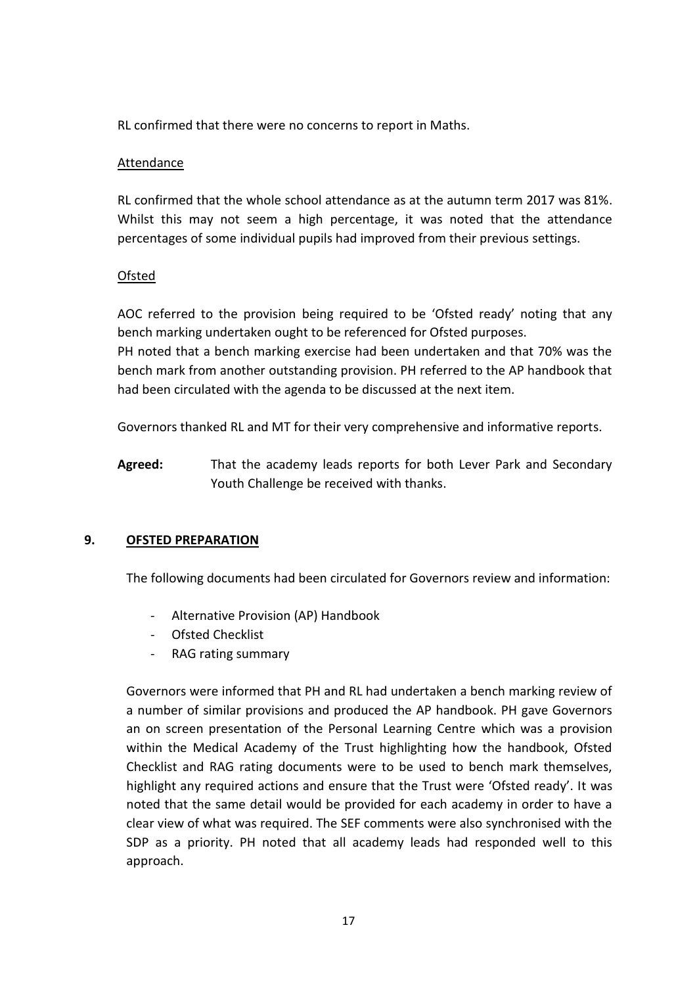RL confirmed that there were no concerns to report in Maths.

### Attendance

RL confirmed that the whole school attendance as at the autumn term 2017 was 81%. Whilst this may not seem a high percentage, it was noted that the attendance percentages of some individual pupils had improved from their previous settings.

# **Ofsted**

AOC referred to the provision being required to be 'Ofsted ready' noting that any bench marking undertaken ought to be referenced for Ofsted purposes.

PH noted that a bench marking exercise had been undertaken and that 70% was the bench mark from another outstanding provision. PH referred to the AP handbook that had been circulated with the agenda to be discussed at the next item.

Governors thanked RL and MT for their very comprehensive and informative reports.

**Agreed:** That the academy leads reports for both Lever Park and Secondary Youth Challenge be received with thanks.

# **9. OFSTED PREPARATION**

The following documents had been circulated for Governors review and information:

- Alternative Provision (AP) Handbook
- Ofsted Checklist
- RAG rating summary

Governors were informed that PH and RL had undertaken a bench marking review of a number of similar provisions and produced the AP handbook. PH gave Governors an on screen presentation of the Personal Learning Centre which was a provision within the Medical Academy of the Trust highlighting how the handbook, Ofsted Checklist and RAG rating documents were to be used to bench mark themselves, highlight any required actions and ensure that the Trust were 'Ofsted ready'. It was noted that the same detail would be provided for each academy in order to have a clear view of what was required. The SEF comments were also synchronised with the SDP as a priority. PH noted that all academy leads had responded well to this approach.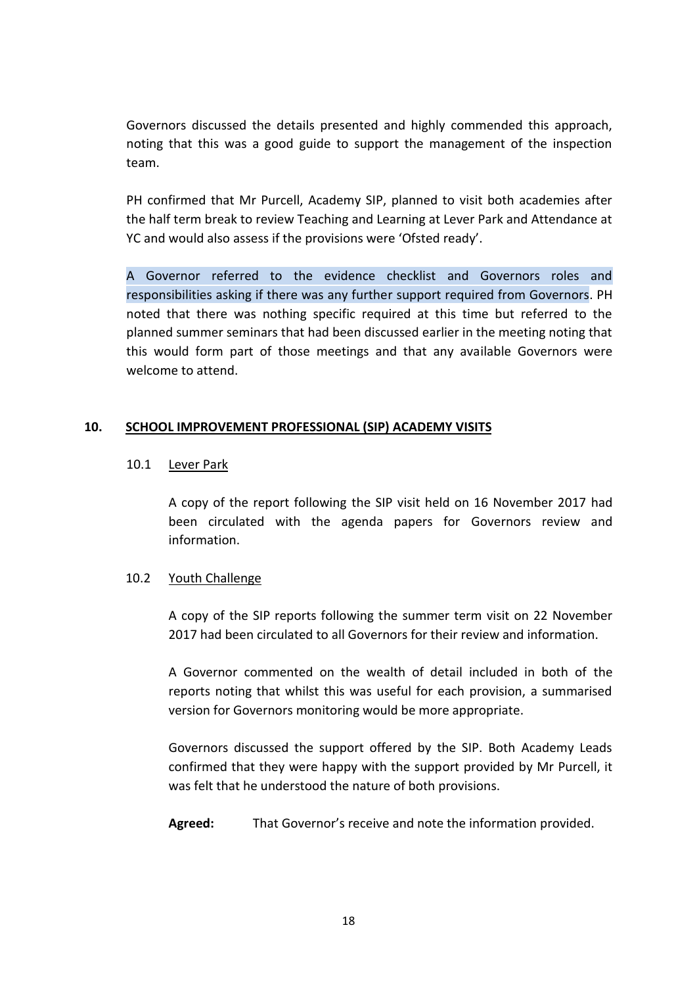Governors discussed the details presented and highly commended this approach, noting that this was a good guide to support the management of the inspection team.

PH confirmed that Mr Purcell, Academy SIP, planned to visit both academies after the half term break to review Teaching and Learning at Lever Park and Attendance at YC and would also assess if the provisions were 'Ofsted ready'.

A Governor referred to the evidence checklist and Governors roles and responsibilities asking if there was any further support required from Governors. PH noted that there was nothing specific required at this time but referred to the planned summer seminars that had been discussed earlier in the meeting noting that this would form part of those meetings and that any available Governors were welcome to attend.

### **10. SCHOOL IMPROVEMENT PROFESSIONAL (SIP) ACADEMY VISITS**

### 10.1 Lever Park

A copy of the report following the SIP visit held on 16 November 2017 had been circulated with the agenda papers for Governors review and information.

### 10.2 Youth Challenge

A copy of the SIP reports following the summer term visit on 22 November 2017 had been circulated to all Governors for their review and information.

A Governor commented on the wealth of detail included in both of the reports noting that whilst this was useful for each provision, a summarised version for Governors monitoring would be more appropriate.

Governors discussed the support offered by the SIP. Both Academy Leads confirmed that they were happy with the support provided by Mr Purcell, it was felt that he understood the nature of both provisions.

**Agreed:** That Governor's receive and note the information provided.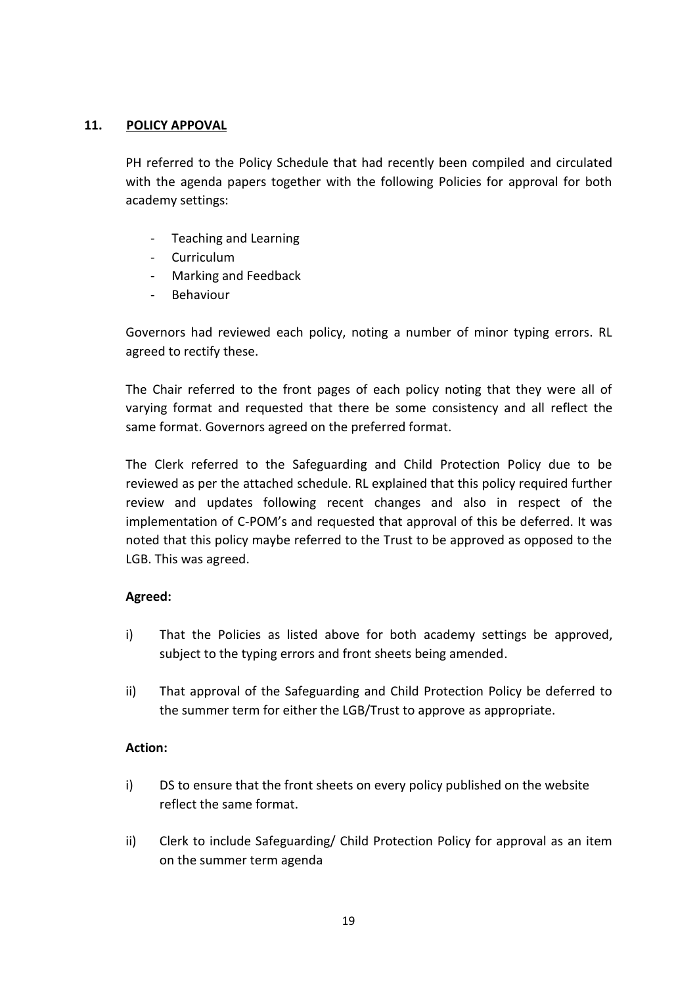### **11. POLICY APPOVAL**

PH referred to the Policy Schedule that had recently been compiled and circulated with the agenda papers together with the following Policies for approval for both academy settings:

- Teaching and Learning
- Curriculum
- Marking and Feedback
- **Behaviour**

Governors had reviewed each policy, noting a number of minor typing errors. RL agreed to rectify these.

The Chair referred to the front pages of each policy noting that they were all of varying format and requested that there be some consistency and all reflect the same format. Governors agreed on the preferred format.

The Clerk referred to the Safeguarding and Child Protection Policy due to be reviewed as per the attached schedule. RL explained that this policy required further review and updates following recent changes and also in respect of the implementation of C-POM's and requested that approval of this be deferred. It was noted that this policy maybe referred to the Trust to be approved as opposed to the LGB. This was agreed.

# **Agreed:**

- i) That the Policies as listed above for both academy settings be approved, subject to the typing errors and front sheets being amended.
- ii) That approval of the Safeguarding and Child Protection Policy be deferred to the summer term for either the LGB/Trust to approve as appropriate.

### **Action:**

- i) DS to ensure that the front sheets on every policy published on the website reflect the same format.
- ii) Clerk to include Safeguarding/ Child Protection Policy for approval as an item on the summer term agenda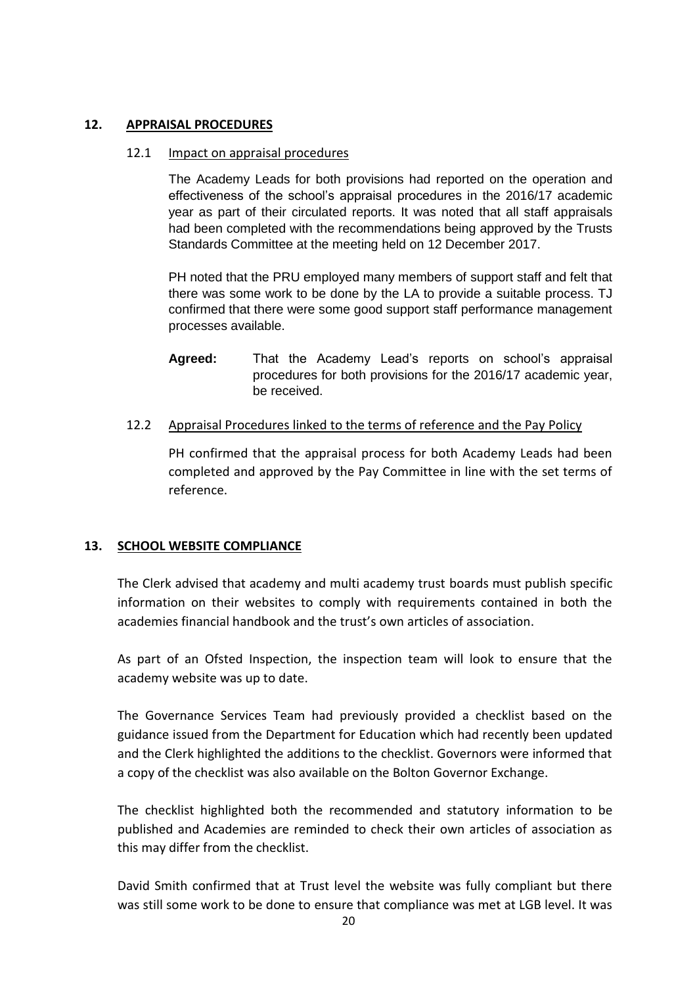### **12. APPRAISAL PROCEDURES**

#### 12.1 Impact on appraisal procedures

The Academy Leads for both provisions had reported on the operation and effectiveness of the school's appraisal procedures in the 2016/17 academic year as part of their circulated reports. It was noted that all staff appraisals had been completed with the recommendations being approved by the Trusts Standards Committee at the meeting held on 12 December 2017.

PH noted that the PRU employed many members of support staff and felt that there was some work to be done by the LA to provide a suitable process. TJ confirmed that there were some good support staff performance management processes available.

- **Agreed:** That the Academy Lead's reports on school's appraisal procedures for both provisions for the 2016/17 academic year, be received.
- 12.2 Appraisal Procedures linked to the terms of reference and the Pay Policy

PH confirmed that the appraisal process for both Academy Leads had been completed and approved by the Pay Committee in line with the set terms of reference.

# **13. SCHOOL WEBSITE COMPLIANCE**

The Clerk advised that academy and multi academy trust boards must publish specific information on their websites to comply with requirements contained in both the academies financial handbook and the trust's own articles of association.

As part of an Ofsted Inspection, the inspection team will look to ensure that the academy website was up to date.

The Governance Services Team had previously provided a checklist based on the guidance issued from the Department for Education which had recently been updated and the Clerk highlighted the additions to the checklist. Governors were informed that a copy of the checklist was also available on the Bolton Governor Exchange.

The checklist highlighted both the recommended and statutory information to be published and Academies are reminded to check their own articles of association as this may differ from the checklist.

David Smith confirmed that at Trust level the website was fully compliant but there was still some work to be done to ensure that compliance was met at LGB level. It was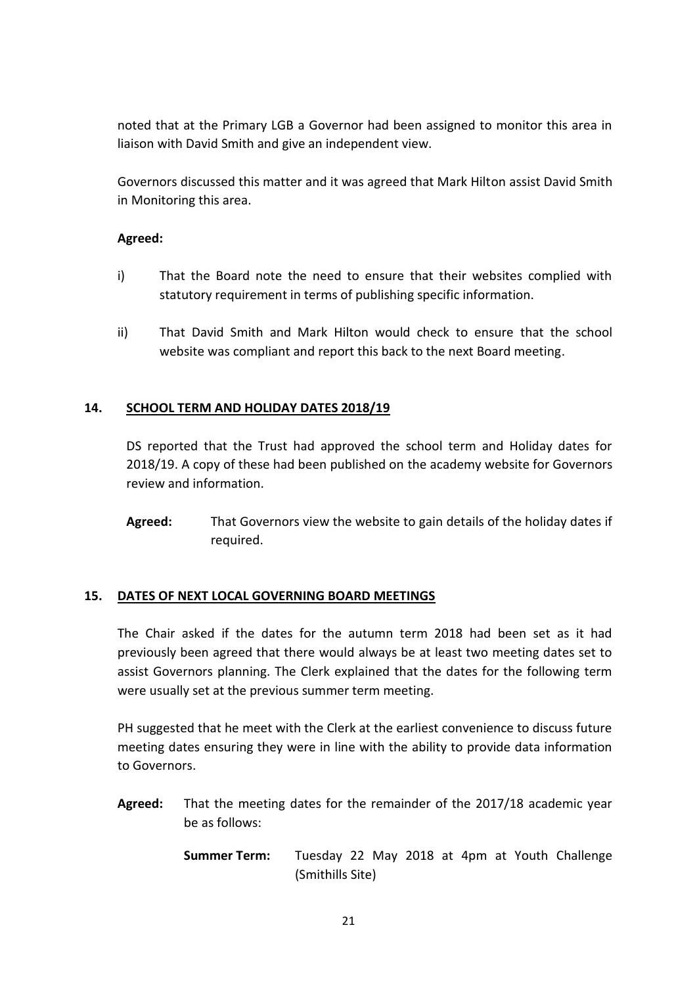noted that at the Primary LGB a Governor had been assigned to monitor this area in liaison with David Smith and give an independent view.

Governors discussed this matter and it was agreed that Mark Hilton assist David Smith in Monitoring this area.

## **Agreed:**

- i) That the Board note the need to ensure that their websites complied with statutory requirement in terms of publishing specific information.
- ii) That David Smith and Mark Hilton would check to ensure that the school website was compliant and report this back to the next Board meeting.

### **14. SCHOOL TERM AND HOLIDAY DATES 2018/19**

DS reported that the Trust had approved the school term and Holiday dates for 2018/19. A copy of these had been published on the academy website for Governors review and information.

**Agreed:** That Governors view the website to gain details of the holiday dates if required.

### **15. DATES OF NEXT LOCAL GOVERNING BOARD MEETINGS**

The Chair asked if the dates for the autumn term 2018 had been set as it had previously been agreed that there would always be at least two meeting dates set to assist Governors planning. The Clerk explained that the dates for the following term were usually set at the previous summer term meeting.

PH suggested that he meet with the Clerk at the earliest convenience to discuss future meeting dates ensuring they were in line with the ability to provide data information to Governors.

- **Agreed:** That the meeting dates for the remainder of the 2017/18 academic year be as follows:
	- **Summer Term:** Tuesday 22 May 2018 at 4pm at Youth Challenge (Smithills Site)